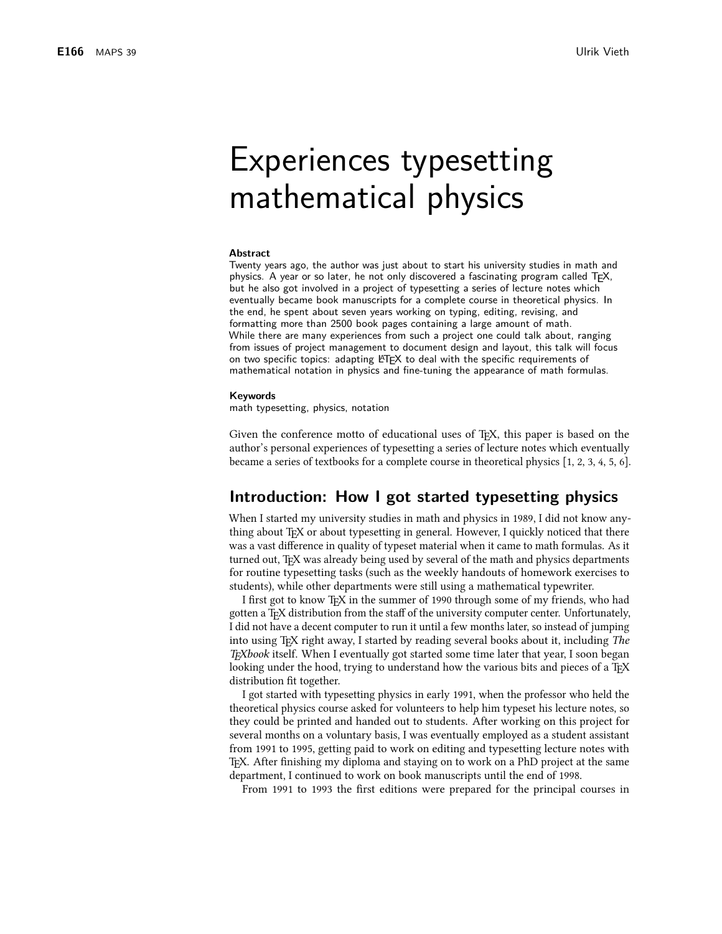# **Experiences typesetting** mathematical physics

#### **Abstract**

Twenty years ago, the author was just about to start his university studies in math and physics. A year or so later, he not only discovered a fascinating program called TFX, but he also got involved in a project of typesetting a series of lecture notes which eventually became book manuscripts for a complete course in theoretical physics. In the end, he spent about seven years working on typing, editing, revising, and formatting more than 2500 book pages containing a large amount of math. While there are many experiences from such a project one could talk about, ranging from issues of project management to document design and layout, this talk will focus on two specific topics: adapting LITEX to deal with the specific requirements of mathematical notation in physics and fine-tuning the appearance of math formulas.

#### Keywords

math typesetting, physics, notation

Given the conference motto of educational uses of T<sub>E</sub>X, this paper is based on the author's personal experiences of typesetting a series of lecture notes which eventually became a series of textbooks for a complete course in theoretical physics  $[1, 2, 3, 4, 5, 6]$ .

# Introduction: How I got started typesetting physics

When I started my university studies in math and physics in 1989, I did not know anything about T<sub>F</sub>X or about typesetting in general. However, I quickly noticed that there was a vast difference in quality of typeset material when it came to math formulas. As it turned out, T<sub>F</sub>X was already being used by several of the math and physics departments for routine typesetting tasks (such as the weekly handouts of homework exercises to students), while other departments were still using a mathematical typewriter.

I first got to know T<sub>F</sub>X in the summer of 1990 through some of my friends, who had gotten a T<sub>F</sub>X distribution from the staff of the university computer center. Unfortunately, I did not have a decent computer to run it until a few months later, so instead of jumping into using T<sub>F</sub>X right away, I started by reading several books about it, including The TEXbook itself. When I eventually got started some time later that year, I soon began looking under the hood, trying to understand how the various bits and pieces of a T<sub>E</sub>X distribution fit together.

I got started with typesetting physics in early 1991, when the professor who held the theoretical physics course asked for volunteers to help him typeset his lecture notes, so they could be printed and handed out to students. After working on this project for several months on a voluntary basis, I was eventually employed as a student assistant from 1991 to 1995, getting paid to work on editing and typesetting lecture notes with TEX. After finishing my diploma and staying on to work on a PhD project at the same department, I continued to work on book manuscripts until the end of 1998.

From 1991 to 1993 the first editions were prepared for the principal courses in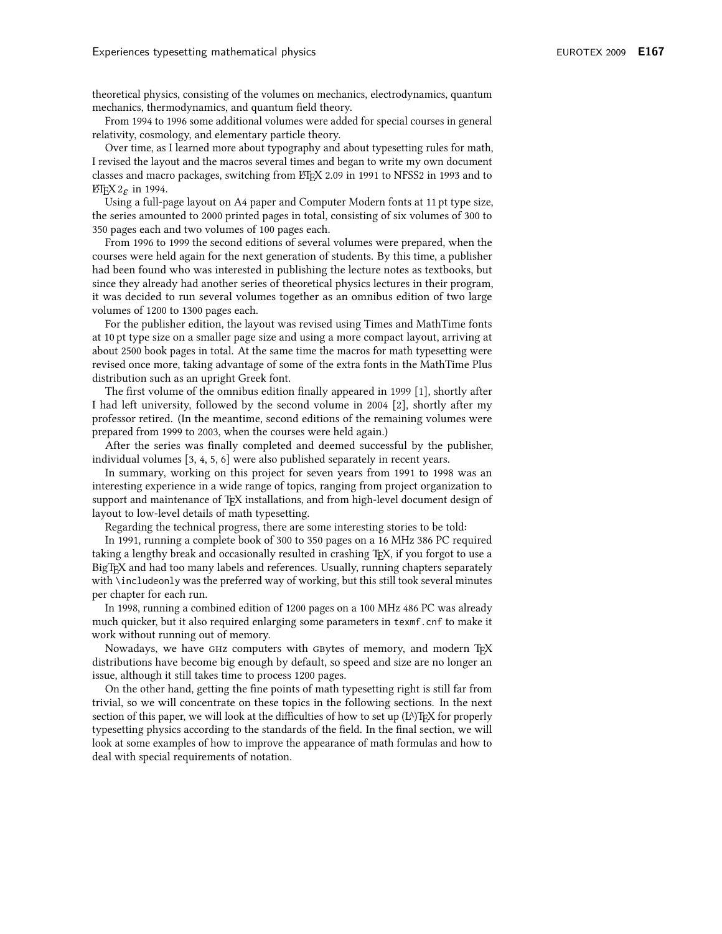theoretical physics, consisting of the volumes on mechanics, electrodynamics, quantum mechanics, thermodynamics, and quantum field theory.

From 1994 to 1996 some additional volumes were added for special courses in general relativity, cosmology, and elementary particle theory.

Over time, as I learned more about typography and about typesetting rules for math, I revised the layout and the macros several times and began to write my own document classes and macro packages, switching from ETEX 2.09 in 1991 to NFSS2 in 1993 and to  $\operatorname{ETr} X2_{\mathcal{F}}$  in 1994.

Using a full-page layout on A4 paper and Computer Modern fonts at 11 pt type size, the series amounted to 2000 printed pages in total, consisting of six volumes of 300 to 350 pages each and two volumes of 100 pages each.

From 1996 to 1999 the second editions of several volumes were prepared, when the courses were held again for the next generation of students. By this time, a publisher had been found who was interested in publishing the lecture notes as textbooks, but since they already had another series of theoretical physics lectures in their program, it was decided to run several volumes together as an omnibus edition of two large volumes of 1200 to 1300 pages each.

For the publisher edition, the layout was revised using Times and MathTime fonts at 10 pt type size on a smaller page size and using a more compact layout, arriving at about 2500 book pages in total. At the same time the macros for math typesetting were revised once more, taking advantage of some of the extra fonts in the MathTime Plus distribution such as an upright Greek font.

The first volume of the omnibus edition finally appeared in 1999 [1], shortly after I had left university, followed by the second volume in 2004 [2], shortly after my professor retired. (In the meantime, second editions of the remaining volumes were prepared from 1999 to 2003, when the courses were held again.)

After the series was finally completed and deemed successful by the publisher, individual volumes [3, 4, 5, 6] were also published separately in recent years.

In summary, working on this project for seven years from 1991 to 1998 was an interesting experience in a wide range of topics, ranging from project organization to support and maintenance of TEX installations, and from high-level document design of layout to low-level details of math typesetting.

Regarding the technical progress, there are some interesting stories to be told:

In 1991, running a complete book of 300 to 350 pages on a 16 MHz 386 PC required taking a lengthy break and occasionally resulted in crashing T<sub>F</sub>X, if you forgot to use a BigTEX and had too many labels and references. Usually, running chapters separately with \includeonly was the preferred way of working, but this still took several minutes per chapter for each run.

In 1998, running a combined edition of 1200 pages on a 100 MHz 486 PC was already much quicker, but it also required enlarging some parameters in texmf. cnf to make it work without running out of memory.

Nowadays, we have GHz computers with GBytes of memory, and modern TFX distributions have become big enough by default, so speed and size are no longer an issue, although it still takes time to process 1200 pages.

On the other hand, getting the fine points of math typesetting right is still far from trivial, so we will concentrate on these topics in the following sections. In the next section of this paper, we will look at the difficulties of how to set up  $(L<sup>A</sup>)$  T<sub>F</sub>X for properly typesetting physics according to the standards of the field. In the final section, we will look at some examples of how to improve the appearance of math formulas and how to deal with special requirements of notation.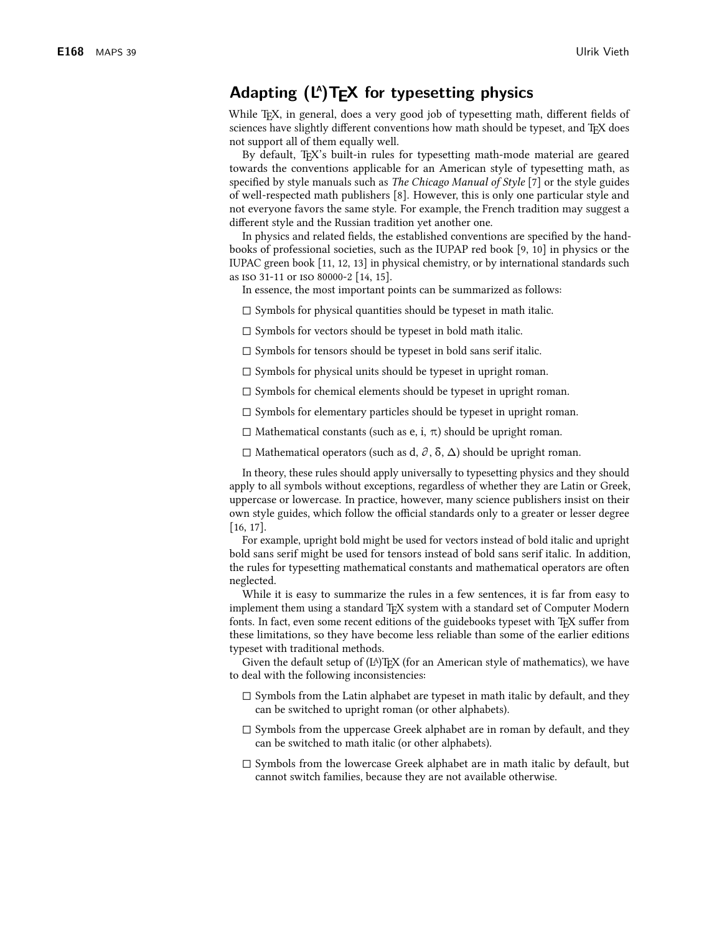# Adapting  $(L^A)T_FX$  for typesetting physics

While T<sub>F</sub>X, in general, does a very good job of typesetting math, different fields of sciences have slightly different conventions how math should be typeset, and TEX does not support all of them equally well.

By default, TFX's built-in rules for typesetting math-mode material are geared towards the conventions applicable for an American style of typesetting math, as specified by style manuals such as *The Chicago Manual of Style* [7] or the style guides of well-respected math publishers [8]. However, this is only one particular style and not everyone favors the same style. For example, the French tradition may suggest a different style and the Russian tradition yet another one.

In physics and related fields, the established conventions are specified by the handbooks of professional societies, such as the IUPAP red book [9, 10] in physics or the IUPAC green book [11, 12, 13] in physical chemistry, or by international standards such as ISO 31-11 or ISO 80000-2 [14, 15].

In essence, the most important points can be summarized as follows:

 $\Box$  Symbols for physical quantities should be typeset in math italic.

 $\square$  Symbols for vectors should be typeset in bold math italic.

 $\Box$  Symbols for tensors should be typeset in bold sans serifitalic.

 $\Box$  Symbols for physical units should be typeset in upright roman.

 $\Box$  Symbols for chemical elements should be typeset in upright roman.

 $\Box$  Symbols for elementary particles should be typeset in upright roman.

 $\Box$  Mathematical constants (such as e, i,  $\pi$ ) should be upright roman.

 $\Box$  Mathematical operators (such as d,  $\partial$ ,  $\delta$ ,  $\Delta$ ) should be upright roman.

In theory, these rules should apply universally to typesetting physics and they should apply to all symbols without exceptions, regardless of whether they are Latin or Greek, uppercase or lowercase. In practice, however, many science publishers insist on their own style guides, which follow the official standards only to a greater or lesser degree  $[16, 17]$ .

For example, upright bold might be used for vectors instead of bold italic and upright bold sans serif might be used for tensors instead of bold sans serif italic. In addition, the rules for typesetting mathematical constants and mathematical operators are often neglected.

While it is easy to summarize the rules in a few sentences, it is far from easy to implement them using a standard TEX system with a standard set of Computer Modern fonts. In fact, even some recent editions of the guidebooks typeset with T<sub>F</sub>X suffer from these limitations, so they have become less reliable than some of the earlier editions typeset with traditional methods.

Given the default setup of  $(L<sup>A</sup>)$ T<sub>F</sub>X (for an American style of mathematics), we have to deal with the following inconsistencies:

- $\Box$  Symbols from the Latin alphabet are typeset in math italic by default, and they can be switched to upright roman (or other alphabets).
- $\Box$  Symbols from the uppercase Greek alphabet are in roman by default, and they can be switched to math italic (or other alphabets).
- $\square$  Symbols from the lowercase Greek alphabet are in math italic by default, but cannot switch families, because they are not available otherwise.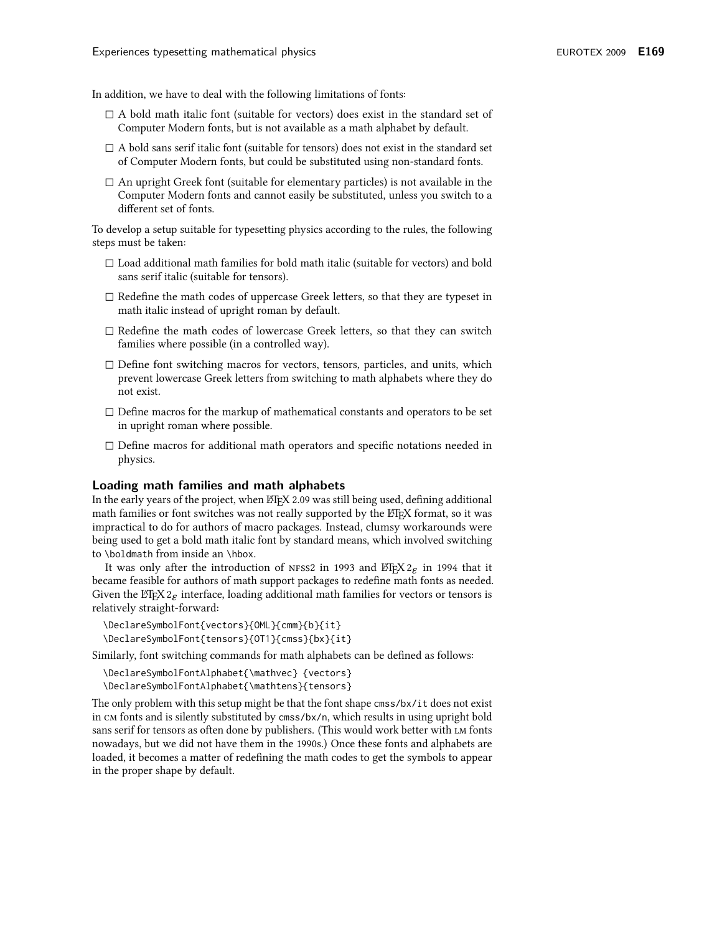In addition, we have to deal with the following limitations of fonts:

- $\Box$  A bold math italic font (suitable for vectors) does exist in the standard set of Computer Modern fonts, but is not available as a math alphabet by default.
- $\Box$  A bold sans serif italic font (suitable for tensors) does not exist in the standard set of Computer Modern fonts, but could be substituted using non-standard fonts.
- $\Box$  An upright Greek font (suitable for elementary particles) is not available in the Computer Modern fonts and cannot easily be substituted, unless you switch to a different set of fonts.

To develop a setup suitable for typesetting physics according to the rules, the following steps must be taken:

- $\Box$  Load additional math families for bold math italic (suitable for vectors) and bold sans serif italic (suitable for tensors).
- $\Box$  Redefine the math codes of uppercase Greek letters, so that they are typeset in math italic instead of upright roman by default.
- $\square$  Redefine the math codes of lowercase Greek letters, so that they can switch families where possible (in a controlled way).
- $\Box$  Define font switching macros for vectors, tensors, particles, and units, which prevent lowercase Greek letters from switching to math alphabets where they do not exist.
- $\Box$  Define macros for the markup of mathematical constants and operators to be set in upright roman where possible.
- $\square$  Define macros for additional math operators and specific notations needed in physics.

#### Loading math families and math alphabets

In the early years of the project, when ETEX 2.09 was still being used, defining additional math families or font switches was not really supported by the ET<sub>F</sub>X format, so it was impractical to do for authors of macro packages. Instead, clumsy workarounds were being used to get a bold math italic font by standard means, which involved switching to \boldmath from inside an \hbox.

It was only after the introduction of NFSS2 in 1993 and  $\mathbb{E}E[X]$  in 1994 that it became feasible for authors of math support packages to redefine math fonts as needed. Given the ETEX  $2\varepsilon$  interface, loading additional math families for vectors or tensors is relatively straight-forward:

```
\DeclareSymbolFont{vectors}{OML}{cmm}{b}{it}
\DeclareSymbolFont{tensors}{OT1}{cmss}{bx}{it}
```
Similarly, font switching commands for math alphabets can be defined as follows:

```
\DeclareSymbolFontAlphabet{\mathvec} {vectors}
\DeclareSymbolFontAlphabet{\mathtens}{tensors}
```
The only problem with this setup might be that the font shape cmss/bx/it does not exist in CM fonts and is silently substituted by cmss/bx/n, which results in using upright bold sans serif for tensors as often done by publishers. (This would work better with LM fonts nowadays, but we did not have them in the 1990s.) Once these fonts and alphabets are loaded, it becomes a matter of redefining the math codes to get the symbols to appear in the proper shape by default.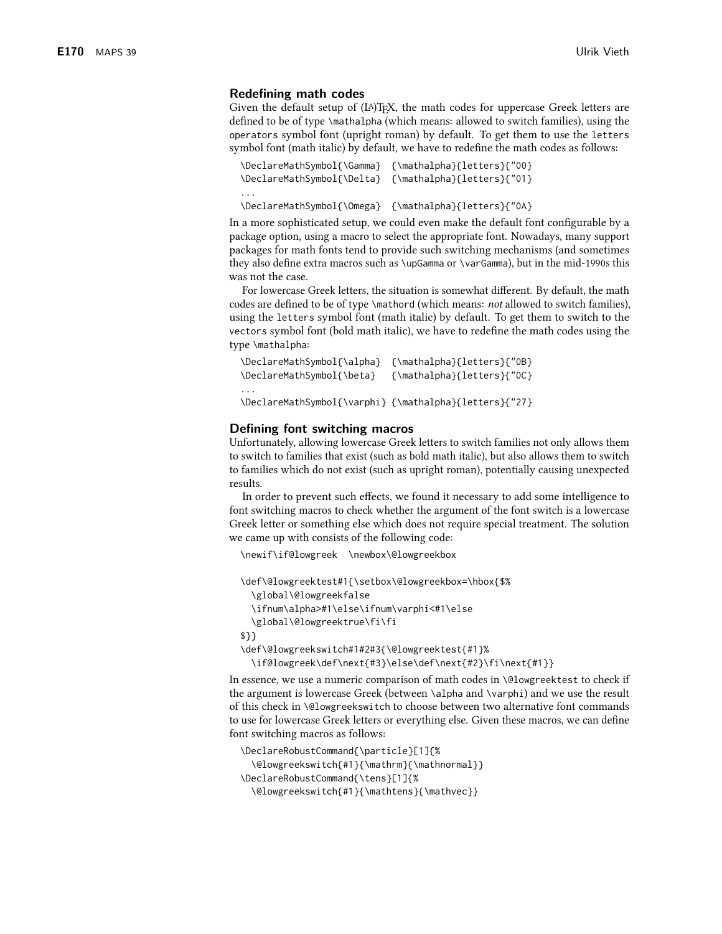#### Redefining math codes

Given the default setup of  $(L^A)$  T<sub>F</sub>X, the math codes for uppercase Greek letters are defined to be of type \mathalpha (which means: allowed to switch families), using the operators symbol font (upright roman) by default. To get them to use the letters symbol font (math italic) by default, we have to redefine the math codes as follows:

```
\DeclareMathSymbol{\Gamma} {\mathalpha}{letters}{"00}
\DeclareMathSymbol{\Delta} {\mathalpha}{letters}{"01}
\ddots\DeclareMathSymbol{\Omega} {\mathalpha}{letters}{"0A}
```
In a more sophisticated setup, we could even make the default font configurable by a package option, using a macro to select the appropriate font. Nowadays, many support packages for math fonts tend to provide such switching mechanisms (and sometimes they also define extra macros such as \upGamma or \varGamma), but in the mid-1990s this was not the case

For lowercase Greek letters, the situation is somewhat different. By default, the math codes are defined to be of type \mathord (which means: *not* allowed to switch families), using the letters symbol font (math italic) by default. To get them to switch to the vectors symbol font (bold math italic), we have to redefine the math codes using the type \mathalpha:

```
\DeclareMathSymbol{\alpha} {\mathalpha}{letters}{"0B}
\DeclareMathSymbol{\beta} {\mathalpha}{letters}{"OC}
\DeclareMathSymbol{\varphi} {\mathalpha}{letters}{"27}
```
#### Defining font switching macros

Unfortunately, allowing lowercase Greek letters to switch families not only allows them to switch to families that exist (such as bold math italic), but also allows them to switch to families which do not exist (such as upright roman), potentially causing unexpected results.

In order to prevent such effects, we found it necessary to add some intelligence to font switching macros to check whether the argument of the font switch is a lowercase Greek letter or something else which does not require special treatment. The solution we came up with consists of the following code:

```
\newif\if@lowgreek \newbox\@lowgreekbox
```

```
\def\@lowgreektest#1{\setbox\@lowgreekbox=\hbox{$%
 \global\@lowgreekfalse
 \ifnum\alpha>#1\else\ifnum\varphi<#1\else
 \global\@lowgreektrue\fi\fi
$}}
\def\@lowgreekswitch#1#2#3{\@lowgreektest{#1}%
 \if@lowgreek\def\next{#3}\else\def\next{#2}\fi\next{#1}}
```
In essence, we use a numeric comparison of math codes in \@1owgreektest to check if the argument is lowercase Greek (between \alpha and \varphi) and we use the result of this check in \@lowgreekswitch to choose between two alternative font commands to use for lowercase Greek letters or everything else. Given these macros, we can define font switching macros as follows:

```
\DeclareRobustCommand{\particle}[1]{%
 \@lowgreekswitch{#1}{\mathrm}{\mathnormal}}
\DeclareRobustCommand{\tens}[1]{%
 \@lowgreekswitch{#1}{\mathtens}{\mathvec}}
```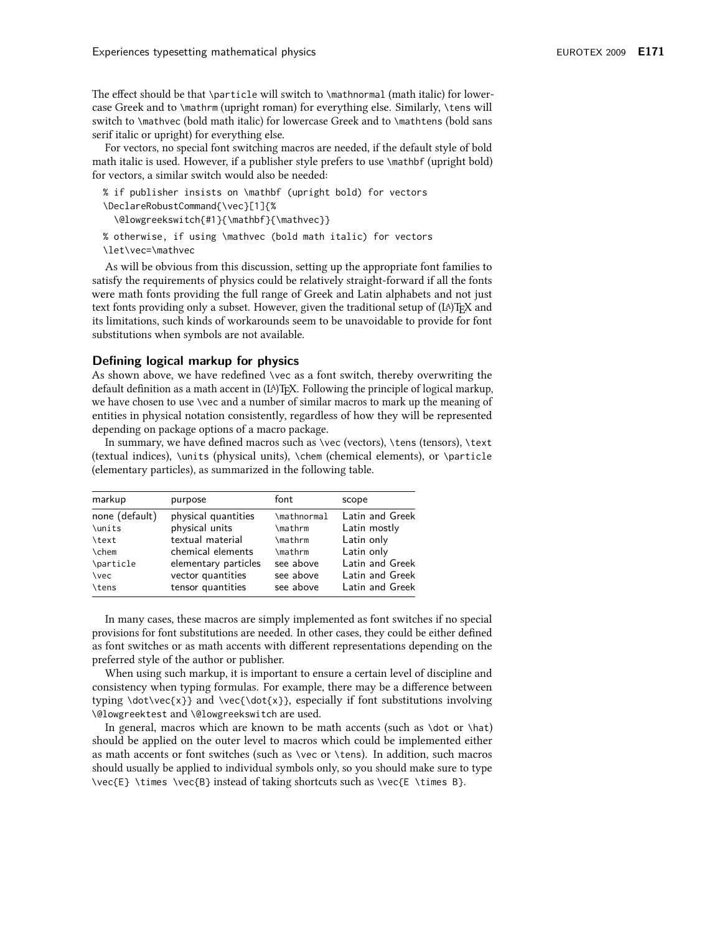The effect should be that \particle will switch to \mathnormal (math italic) for lowercase Greek and to \mathrm (upright roman) for everything else. Similarly, \tens will switch to \mathvec (bold math italic) for lowercase Greek and to \mathtens (bold sans serif italic or upright) for everything else.

For vectors, no special font switching macros are needed, if the default style of bold math italic is used. However, if a publisher style prefers to use \mathbf (upright bold) for vectors, a similar switch would also be needed:

```
% if publisher insists on \mathbf (upright bold) for vectors
\DeclareRobustCommand{\vec}[1]{%
 \@lowgreekswitch{#1}{\mathbf}{\mathvec}}
% otherwise, if using \mathvec (bold math italic) for vectors
\let\vec=\mathvec
```
As will be obvious from this discussion, setting up the appropriate font families to satisfy the requirements of physics could be relatively straight-forward if all the fonts were math fonts providing the full range of Greek and Latin alphabets and not just text fonts providing only a subset. However, given the traditional setup of  $(L^A)$  T<sub>P</sub>X and its limitations, such kinds of workarounds seem to be unavoidable to provide for font substitutions when symbols are not available.

#### Defining logical markup for physics

As shown above, we have redefined \vec as a font switch, thereby overwriting the default definition as a math accent in (IA)TFX. Following the principle of logical markup, we have chosen to use \vec and a number of similar macros to mark up the meaning of entities in physical notation consistently, regardless of how they will be represented depending on package options of a macro package.

In summary, we have defined macros such as \vec (vectors), \tens (tensors), \text (textual indices), \units (physical units), \chem (chemical elements), or \particle (elementary particles), as summarized in the following table.

| markup         | purpose              | font        | scope           |
|----------------|----------------------|-------------|-----------------|
| none (default) | physical quantities  | \mathnormal | Latin and Greek |
| <b>\units</b>  | physical units       | \mathrm     | Latin mostly    |
| \text          | textual material     | \mathrm     | Latin only      |
| <b>\chem</b>   | chemical elements    | \mathrm     | Latin only      |
| \particle      | elementary particles | see above   | Latin and Greek |
| <b>\vec</b>    | vector quantities    | see above   | Latin and Greek |
| <b>\tens</b>   | tensor quantities    | see above   | Latin and Greek |

In many cases, these macros are simply implemented as font switches if no special provisions for font substitutions are needed. In other cases, they could be either defined as font switches or as math accents with different representations depending on the preferred style of the author or publisher.

When using such markup, it is important to ensure a certain level of discipline and consistency when typing formulas. For example, there may be a difference between typing \dot\vec{x}} and \vec{\dot{x}}, especially if font substitutions involving \@lowgreektest and \@lowgreekswitch are used.

In general, macros which are known to be math accents (such as  $\dot{\sigma}$  ot or  $\hat{\sigma}$ ) should be applied on the outer level to macros which could be implemented either as math accents or font switches (such as \vec or \tens). In addition, such macros should usually be applied to individual symbols only, so you should make sure to type \vec{E}\times\vec{B} instead of taking shortcuts such as \vec{E \times B}.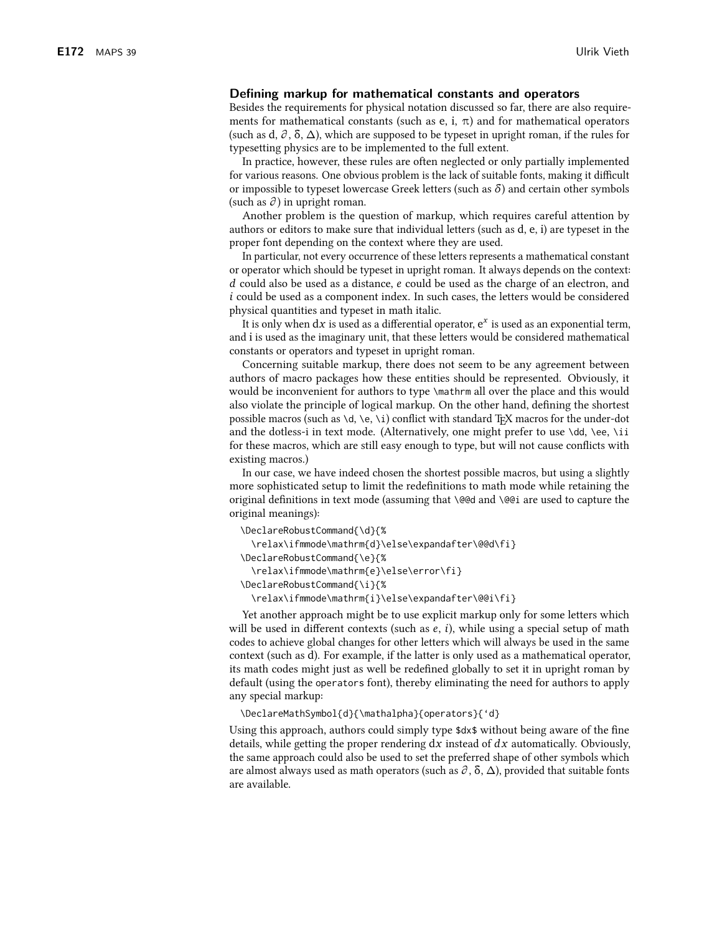#### Defining markup for mathematical constants and operators

Besides the requirements for physical notation discussed so far, there are also requirements for mathematical constants (such as  $e$ , i,  $\pi$ ) and for mathematical operators (such as d,  $\partial$ ,  $\delta$ ,  $\Delta$ ), which are supposed to be typeset in upright roman, if the rules for typesetting physics are to be implemented to the full extent.

In practice, however, these rules are often neglected or only partially implemented for various reasons. One obvious problem is the lack of suitable fonts, making it difficult or impossible to typeset lowercase Greek letters (such as  $\delta$ ) and certain other symbols (such as  $\partial$ ) in upright roman.

Another problem is the question of markup, which requires careful attention by authors or editors to make sure that individual letters (such as d, e, i) are typeset in the proper font depending on the context where they are used.

In particular, not every occurrence of these letters represents a mathematical constant or operator which should be typeset in upright roman. It always depends on the context: d could also be used as a distance, e could be used as the charge of an electron, and *i* could be used as a component index. In such cases, the letters would be considered physical quantities and typeset in math italic.

It is only when  $dx$  is used as a differential operator,  $e^x$  is used as an exponential term, and i is used as the imaginary unit, that these letters would be considered mathematical constants or operators and typeset in upright roman.

Concerning suitable markup, there does not seem to be any agreement between authors of macro packages how these entities should be represented. Obviously, it would be inconvenient for authors to type \mathrm all over the place and this would also violate the principle of logical markup. On the other hand, defining the shortest possible macros (such as  $\dagger$ ,  $\e$ ,  $\iota$ ) conflict with standard T<sub>F</sub>X macros for the under-dot and the dotless-i in text mode. (Alternatively, one might prefer to use \dd, \ee, \ii for these macros, which are still easy enough to type, but will not cause conflicts with existing macros.)

In our case, we have indeed chosen the shortest possible macros, but using a slightly more sophisticated setup to limit the redefinitions to math mode while retaining the original definitions in text mode (assuming that \@@d and \@@i are used to capture the original meanings):

```
\DeclareRobustCommand{\d}{%
 \relax\ifmmode\mathrm{d}\else\expandafter\@@d\fi}
\DeclareRobustCommand{\e}{%
 \relax\ifmmode\mathrm{e}\else\error\fi}
\DeclareRobustCommand{\i}{%
 \relax\ifmmode\mathrm{i}\else\expandafter\@@i\fi}
```
Yet another approach might be to use explicit markup only for some letters which will be used in different contexts (such as  $e$ ,  $i$ ), while using a special setup of math codes to achieve global changes for other letters which will always be used in the same context (such as d). For example, if the latter is only used as a mathematical operator, its math codes might just as well be redefined globally to set it in upright roman by default (using the operators font), thereby eliminating the need for authors to apply any special markup:

\DeclareMathSymbol{d}{\mathalpha}{operators}{'d}

Using this approach, authors could simply type \$dx\$ without being aware of the fine details, while getting the proper rendering  $dx$  instead of  $dx$  automatically. Obviously, the same approach could also be used to set the preferred shape of other symbols which are almost always used as math operators (such as  $\partial$ ,  $\delta$ ,  $\Delta$ ), provided that suitable fonts are available.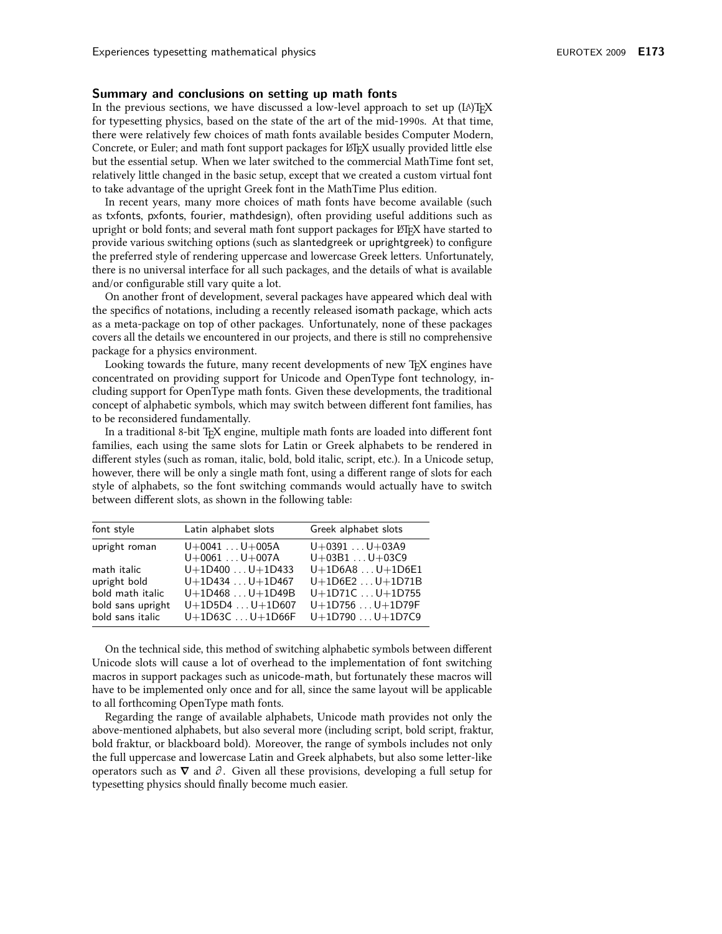#### Summary and conclusions on setting up math fonts

In the previous sections, we have discussed a low-level approach to set up  $(L^A)$  T<sub>P</sub>X for typesetting physics, based on the state of the art of the mid-1990s. At that time, there were relatively few choices of math fonts available besides Computer Modern, Concrete, or Euler; and math font support packages for LTFX usually provided little else but the essential setup. When we later switched to the commercial MathTime font set, relatively little changed in the basic setup, except that we created a custom virtual font to take advantage of the upright Greek font in the MathTime Plus edition.

In recent years, many more choices of math fonts have become available (such as txfonts, pxfonts, fourier, mathdesign), often providing useful additions such as upright or bold fonts; and several math font support packages for ET<sub>F</sub>X have started to provide various switching options (such as slantedgreek or uprightgreek) to configure the preferred style of rendering uppercase and lowercase Greek letters. Unfortunately, there is no universal interface for all such packages, and the details of what is available and/or configurable still vary quite a lot.

On another front of development, several packages have appeared which deal with the specifics of notations, including a recently released isomath package, which acts as a meta-package on top of other packages. Unfortunately, none of these packages covers all the details we encountered in our projects, and there is still no comprehensive package for a physics environment.

Looking towards the future, many recent developments of new TFX engines have concentrated on providing support for Unicode and OpenType font technology, including support for OpenType math fonts. Given these developments, the traditional concept of alphabetic symbols, which may switch between different font families, has to be reconsidered fundamentally.

In a traditional 8-bit T<sub>F</sub>X engine, multiple math fonts are loaded into different font families, each using the same slots for Latin or Greek alphabets to be rendered in different styles (such as roman, italic, bold, bold italic, script, etc.). In a Unicode setup, however, there will be only a single math font, using a different range of slots for each style of alphabets, so the font switching commands would actually have to switch between different slots, as shown in the following table:

| font style                                                                               | Latin alphabet slots                                                                             | Greek alphabet slots                                                                             |
|------------------------------------------------------------------------------------------|--------------------------------------------------------------------------------------------------|--------------------------------------------------------------------------------------------------|
| upright roman                                                                            | $U+0041U+005A$<br>$U+0061U+007A$                                                                 | $U+0391U+03A9$<br>$U+03B1U+03C9$                                                                 |
| math italic<br>upright bold<br>bold math italic<br>bold sans upright<br>bold sans italic | $U+1D400U+1D433$<br>$U+1D434U+1D467$<br>$U+1D468U+1D49B$<br>$U+1D5D4U+1D607$<br>$U+1D63CU+1D66F$ | $U+1D6A8U+1D6E1$<br>$U+1D6E2U+1D71B$<br>$U+1D71CU+1D755$<br>$U+1D756U+1D79F$<br>$U+1D790U+1D7C9$ |

On the technical side, this method of switching alphabetic symbols between different Unicode slots will cause a lot of overhead to the implementation of font switching macros in support packages such as unicode-math, but fortunately these macros will have to be implemented only once and for all, since the same layout will be applicable to all forthcoming OpenType math fonts.

Regarding the range of available alphabets, Unicode math provides not only the above-mentioned alphabets, but also several more (including script, bold script, fraktur, bold fraktur, or blackboard bold). Moreover, the range of symbols includes not only the full uppercase and lowercase Latin and Greek alphabets, but also some letter-like operators such as  $\nabla$  and  $\partial$ . Given all these provisions, developing a full setup for typesetting physics should finally become much easier.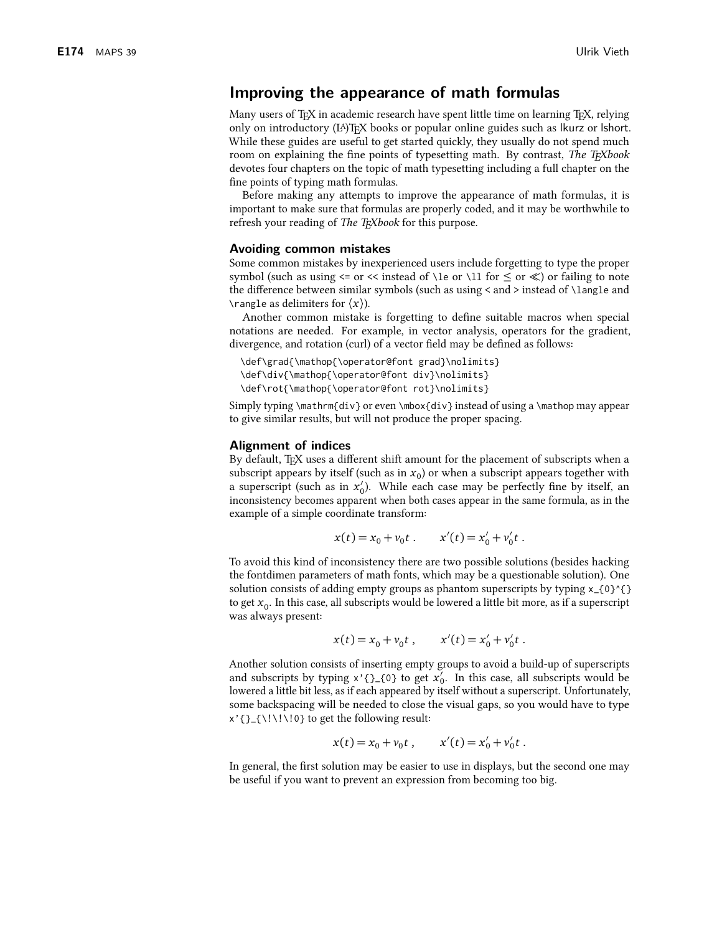## Improving the appearance of math formulas

Many users of T<sub>F</sub>X in academic research have spent little time on learning T<sub>F</sub>X, relying only on introductory (IA)TFX books or popular online guides such as lkurz or lshort. While these guides are useful to get started quickly, they usually do not spend much room on explaining the fine points of typesetting math. By contrast, The T<sub>F</sub>Xbook devotes four chapters on the topic of math typesetting including a full chapter on the fine points of typing math formulas.

Before making any attempts to improve the appearance of math formulas, it is important to make sure that formulas are properly coded, and it may be worthwhile to refresh your reading of *The T<sub>E</sub>Xbook* for this purpose.

#### Avoiding common mistakes

Some common mistakes by inexperienced users include forgetting to type the proper symbol (such as using  $\leq$  or  $\leq$  instead of \le or \ll for  $\leq$  or  $\leq$ ) or failing to note the difference between similar symbols (such as using < and > instead of \langle and \rangle as delimiters for  $\langle x \rangle$ ).

Another common mistake is forgetting to define suitable macros when special notations are needed. For example, in vector analysis, operators for the gradient, divergence, and rotation (curl) of a vector field may be defined as follows:

```
\def\grad{\mathop{\operator@font grad}\nolimits}
\def\div{\mathop{\operator@font div}\nolimits}
\def\rot{\mathop{\operator@font rot}\nolimits}
```
Simply typing \mathrm{div} or even \mbox{div} instead of using a \mathop may appear to give similar results, but will not produce the proper spacing.

#### **Alignment of indices**

By default, T<sub>F</sub>X uses a different shift amount for the placement of subscripts when a subscript appears by itself (such as in  $x_0$ ) or when a subscript appears together with a superscript (such as in  $x'_0$ ). While each case may be perfectly fine by itself, an inconsistency becomes apparent when both cases appear in the same formula, as in the example of a simple coordinate transform:

$$
x(t) = x_0 + v_0 t
$$
.  $x'(t) = x'_0 + v'_0 t$ .

To avoid this kind of inconsistency there are two possible solutions (besides hacking the fontdimen parameters of math fonts, which may be a questionable solution). One solution consists of adding empty groups as phantom superscripts by typing x\_{0}^{} to get  $x_0$ . In this case, all subscripts would be lowered a little bit more, as if a superscript was always present:

$$
x(t) = x_0 + v_0 t
$$
,  $x'(t) = x'_0 + v'_0 t$ .

Another solution consists of inserting empty groups to avoid a build-up of superscripts and subscripts by typing  $x'$ {} {0} to get  $x'_0$ . In this case, all subscripts would be lowered a little bit less, as if each appeared by itself without a superscript. Unfortunately, some backspacing will be needed to close the visual gaps, so you would have to type  $x'$ {}\_{\!\!\!0} to get the following result:

$$
x(t) = x_0 + v_0 t
$$
,  $x'(t) = x'_0 + v'_0 t$ .

In general, the first solution may be easier to use in displays, but the second one may be useful if you want to prevent an expression from becoming too big.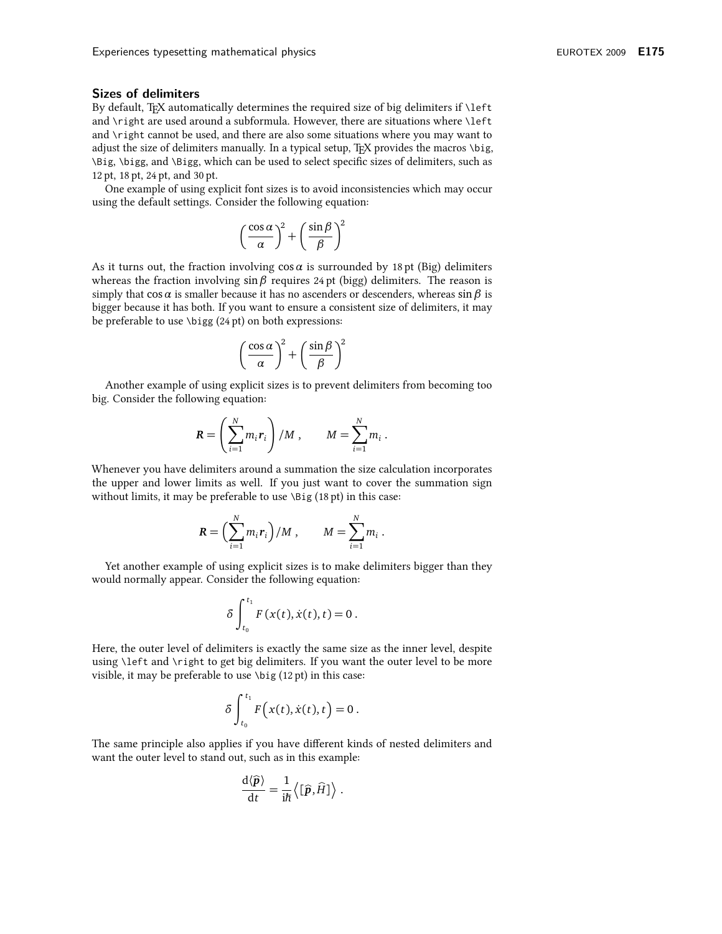#### **Sizes of delimiters**

By default, TEX automatically determines the required size of big delimiters if \left and \right are used around a subformula. However, there are situations where \left and \right cannot be used, and there are also some situations where you may want to adjust the size of delimiters manually. In a typical setup, TEX provides the macros \big, \Big, \bigg, and \Bigg, which can be used to select specific sizes of delimiters, such as 12 pt, 18 pt, 24 pt, and 30 pt.

One example of using explicit font sizes is to avoid inconsistencies which may occur using the default settings. Consider the following equation:

$$
\left(\frac{\cos\alpha}{\alpha}\right)^2 + \left(\frac{\sin\beta}{\beta}\right)^2
$$

As it turns out, the fraction involving  $\cos \alpha$  is surrounded by 18 pt (Big) delimiters whereas the fraction involving  $\sin \beta$  requires 24 pt (bigg) delimiters. The reason is simply that  $\cos \alpha$  is smaller because it has no ascenders or descenders, whereas  $\sin \beta$  is bigger because it has both. If you want to ensure a consistent size of delimiters, it may be preferable to use  $\bigcup$  (24 pt) on both expressions:

$$
\left(\frac{\cos\alpha}{\alpha}\right)^2 + \left(\frac{\sin\beta}{\beta}\right)^2
$$

Another example of using explicit sizes is to prevent delimiters from becoming too big. Consider the following equation:

$$
\boldsymbol{R} = \left(\sum_{i=1}^N m_i \boldsymbol{r}_i\right) / M \ , \qquad M = \sum_{i=1}^N m_i \ .
$$

Whenever you have delimiters around a summation the size calculation incorporates the upper and lower limits as well. If you just want to cover the summation sign without limits, it may be preferable to use \Big (18 pt) in this case:

$$
\mathbf{R} = \left(\sum_{i=1}^N m_i \mathbf{r}_i\right) / M \,, \qquad M = \sum_{i=1}^N m_i \,.
$$

Yet another example of using explicit sizes is to make delimiters bigger than they would normally appear. Consider the following equation:

$$
\delta \int_{t_0}^{t_1} F(x(t), \dot{x}(t), t) = 0
$$

Here, the outer level of delimiters is exactly the same size as the inner level, despite using \left and \right to get big delimiters. If you want the outer level to be more visible, it may be preferable to use \big (12 pt) in this case:

$$
\delta \int_{t_0}^{t_1} F(x(t), \dot{x}(t), t) = 0.
$$

The same principle also applies if you have different kinds of nested delimiters and want the outer level to stand out, such as in this example:

$$
\frac{\mathrm{d}\langle \widehat{p}\rangle}{\mathrm{d}t}=\frac{1}{i\hbar}\left\langle \left[\widehat{p},\widehat{H}\right]\right\rangle .
$$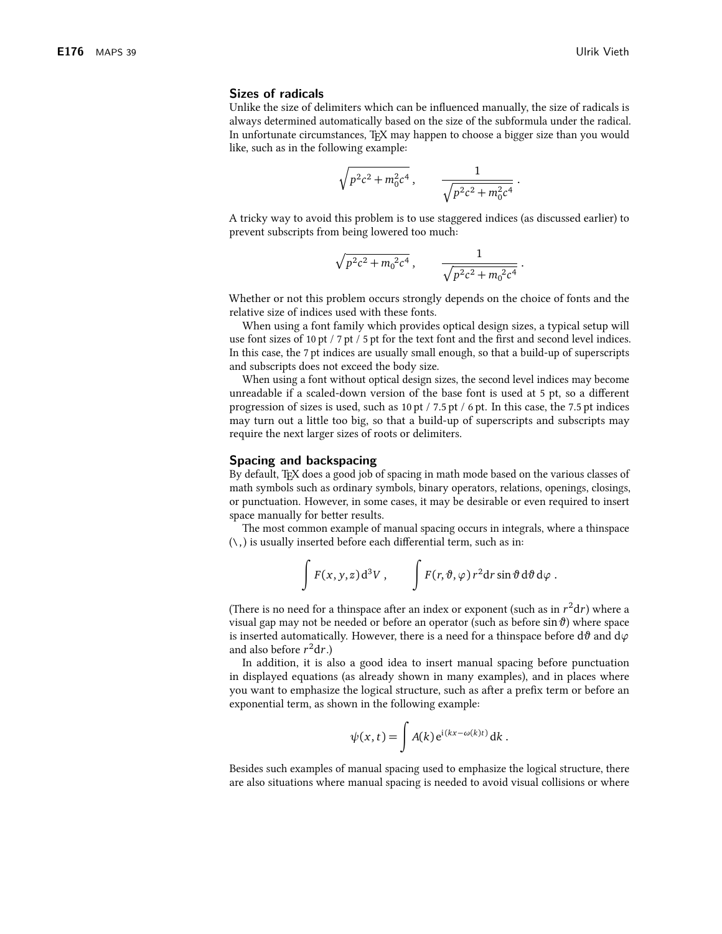#### **Sizes of radicals**

Unlike the size of delimiters which can be influenced manually, the size of radicals is always determined automatically based on the size of the subformula under the radical. In unfortunate circumstances, TEX may happen to choose a bigger size than you would like, such as in the following example:

$$
\sqrt{p^2c^2 + m_0^2c^4} , \qquad \frac{1}{\sqrt{p^2c^2 + m_0^2c^4}}
$$

A tricky way to avoid this problem is to use staggered indices (as discussed earlier) to prevent subscripts from being lowered too much:

$$
\sqrt{p^2c^2 + m_0^2c^4}
$$
,  $\frac{1}{\sqrt{p^2c^2 + m_0^2c^4}}$ .

Whether or not this problem occurs strongly depends on the choice of fonts and the relative size of indices used with these fonts.

When using a font family which provides optical design sizes, a typical setup will use font sizes of 10 pt / 7 pt / 5 pt for the text font and the first and second level indices. In this case, the 7 pt indices are usually small enough, so that a build-up of superscripts and subscripts does not exceed the body size.

When using a font without optical design sizes, the second level indices may become unreadable if a scaled-down version of the base font is used at 5 pt, so a different progression of sizes is used, such as 10 pt / 7.5 pt / 6 pt. In this case, the 7.5 pt indices may turn out a little too big, so that a build-up of superscripts and subscripts may require the next larger sizes of roots or delimiters.

#### Spacing and backspacing

By default, T<sub>F</sub>X does a good job of spacing in math mode based on the various classes of math symbols such as ordinary symbols, binary operators, relations, openings, closings, or punctuation. However, in some cases, it may be desirable or even required to insert space manually for better results.

The most common example of manual spacing occurs in integrals, where a thinspace  $(\cdot, )$  is usually inserted before each differential term, such as in:

$$
\int F(x,y,z) d^3V, \qquad \int F(r,\vartheta,\varphi) r^2 dr \sin \vartheta d\vartheta d\varphi.
$$

(There is no need for a thinspace after an index or exponent (such as in  $r^2dr$ ) where a visual gap may not be needed or before an operator (such as before  $\sin \vartheta$ ) where space is inserted automatically. However, there is a need for a thinspace before  $d\vartheta$  and  $d\varphi$ and also before  $r^2dr$ .)

In addition, it is also a good idea to insert manual spacing before punctuation in displayed equations (as already shown in many examples), and in places where you want to emphasize the logical structure, such as after a prefix term or before an exponential term, as shown in the following example:

$$
\psi(x,t) = \int A(k) e^{i(kx - \omega(k)t)} dk.
$$

Besides such examples of manual spacing used to emphasize the logical structure, there are also situations where manual spacing is needed to avoid visual collisions or where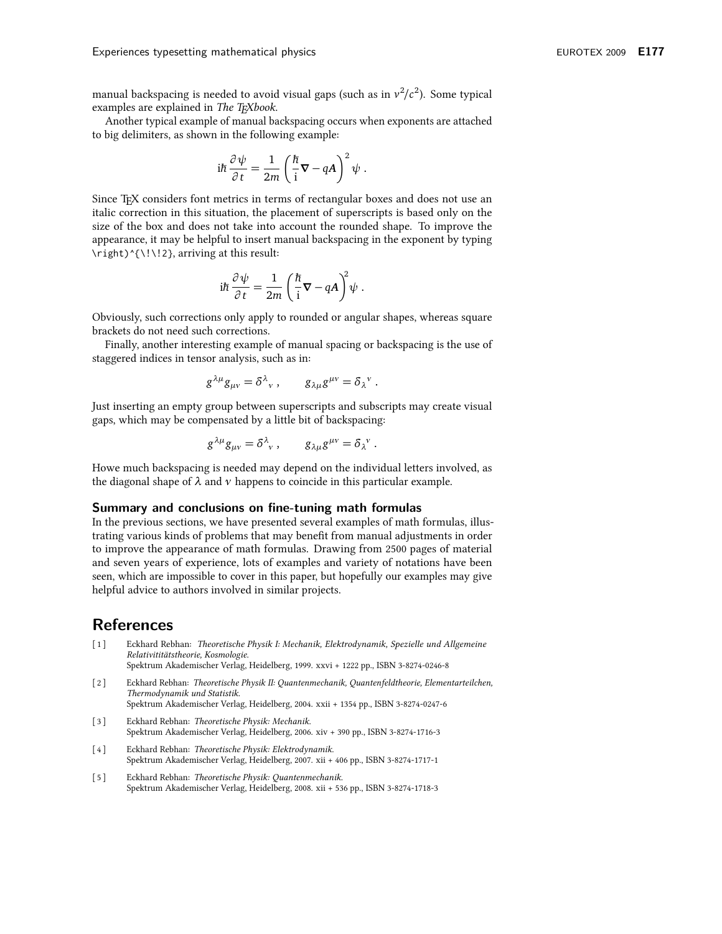manual backspacing is needed to avoid visual gaps (such as in  $v^2/c^2$ ). Some typical examples are explained in The TEXbook.

Another typical example of manual backspacing occurs when exponents are attached to big delimiters, as shown in the following example:

$$
i\hbar \frac{\partial \psi}{\partial t} = \frac{1}{2m} \left( \frac{\hbar}{i} \nabla - qA \right)^2 \psi
$$

Since T<sub>F</sub>X considers font metrics in terms of rectangular boxes and does not use an italic correction in this situation, the placement of superscripts is based only on the size of the box and does not take into account the rounded shape. To improve the appearance, it may be helpful to insert manual backspacing in the exponent by typing \right)^{\!\!2}, arriving at this result:

$$
i\hbar \frac{\partial \psi}{\partial t} = \frac{1}{2m} \left( \frac{\hbar}{i} \nabla - qA \right)^2 \psi
$$

Obviously, such corrections only apply to rounded or angular shapes, whereas square brackets do not need such corrections.

Finally, another interesting example of manual spacing or backspacing is the use of staggered indices in tensor analysis, such as in:

$$
g^{\lambda\mu}g_{\mu\nu}=\delta^{\lambda}{}_{\nu}\,,\qquad g_{\lambda\mu}g^{\mu\nu}=\delta_{\lambda}{}^{\nu}\,.
$$

Just inserting an empty group between superscripts and subscripts may create visual gaps, which may be compensated by a little bit of backspacing:

$$
g^{\lambda\mu}g_{\mu\nu} = \delta^{\lambda}_{\nu}, \qquad g_{\lambda\mu}g^{\mu\nu} = \delta_{\lambda}^{\nu}.
$$

Howe much backspacing is needed may depend on the individual letters involved, as the diagonal shape of  $\lambda$  and  $\nu$  happens to coincide in this particular example.

#### Summary and conclusions on fine-tuning math formulas

In the previous sections, we have presented several examples of math formulas, illustrating various kinds of problems that may benefit from manual adjustments in order to improve the appearance of math formulas. Drawing from 2500 pages of material and seven years of experience, lots of examples and variety of notations have been seen, which are impossible to cover in this paper, but hopefully our examples may give helpful advice to authors involved in similar projects.

### **References**

- $\lceil 1 \rceil$ Eckhard Rebhan: Theoretische Physik I: Mechanik, Elektrodynamik, Spezielle und Allgemeine Relativititätstheorie, Kosmologie. Spektrum Akademischer Verlag, Heidelberg, 1999. xxvi + 1222 pp., ISBN 3-8274-0246-8
- $\lceil 2 \rceil$ Eckhard Rebhan: Theoretische Physik II: Quantenmechanik, Quantenfeldtheorie, Elementarteilchen,
	- Thermodynamik und Statistik. Spektrum Akademischer Verlag, Heidelberg, 2004. xxii + 1354 pp., ISBN 3-8274-0247-6
- $[3]$ Eckhard Rebhan: Theoretische Physik: Mechanik. Spektrum Akademischer Verlag, Heidelberg, 2006. xiv + 390 pp., ISBN 3-8274-1716-3
- $\lceil 4 \rceil$ Eckhard Rebhan: Theoretische Physik: Elektrodynamik. Spektrum Akademischer Verlag, Heidelberg, 2007. xii + 406 pp., ISBN 3-8274-1717-1
- $\lceil 5 \rceil$ Eckhard Rebhan: Theoretische Physik: Quantenmechanik. Spektrum Akademischer Verlag, Heidelberg, 2008. xii + 536 pp., ISBN 3-8274-1718-3